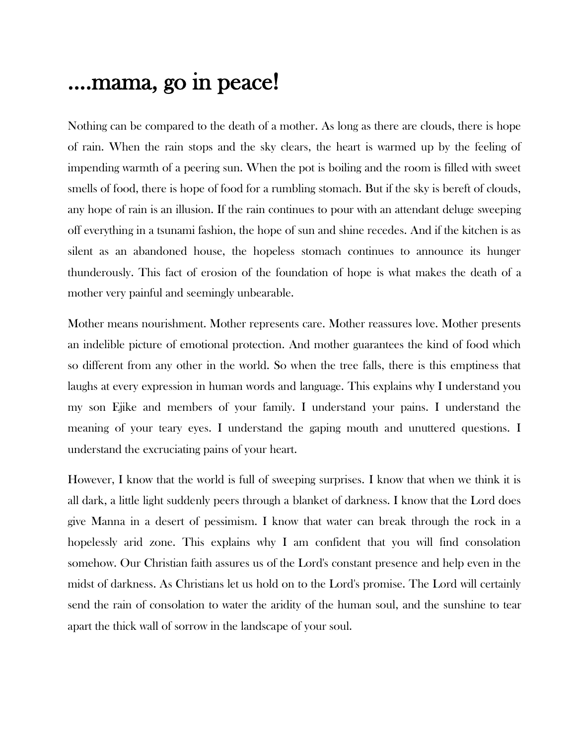## ....mama, go in peace!

Nothing can be compared to the death of a mother. As long as there are clouds, there is hope of rain. When the rain stops and the sky clears, the heart is warmed up by the feeling of impending warmth of a peering sun. When the pot is boiling and the room is filled with sweet smells of food, there is hope of food for a rumbling stomach. But if the sky is bereft of clouds, any hope of rain is an illusion. If the rain continues to pour with an attendant deluge sweeping off everything in a tsunami fashion, the hope of sun and shine recedes. And if the kitchen is as silent as an abandoned house, the hopeless stomach continues to announce its hunger thunderously. This fact of erosion of the foundation of hope is what makes the death of a mother very painful and seemingly unbearable.

Mother means nourishment. Mother represents care. Mother reassures love. Mother presents an indelible picture of emotional protection. And mother guarantees the kind of food which so different from any other in the world. So when the tree falls, there is this emptiness that laughs at every expression in human words and language. This explains why I understand you my son Ejike and members of your family. I understand your pains. I understand the meaning of your teary eyes. I understand the gaping mouth and unuttered questions. I understand the excruciating pains of your heart.

However, I know that the world is full of sweeping surprises. I know that when we think it is all dark, a little light suddenly peers through a blanket of darkness. I know that the Lord does give Manna in a desert of pessimism. I know that water can break through the rock in a hopelessly arid zone. This explains why I am confident that you will find consolation somehow. Our Christian faith assures us of the Lord's constant presence and help even in the midst of darkness. As Christians let us hold on to the Lord's promise. The Lord will certainly send the rain of consolation to water the aridity of the human soul, and the sunshine to tear apart the thick wall of sorrow in the landscape of your soul.